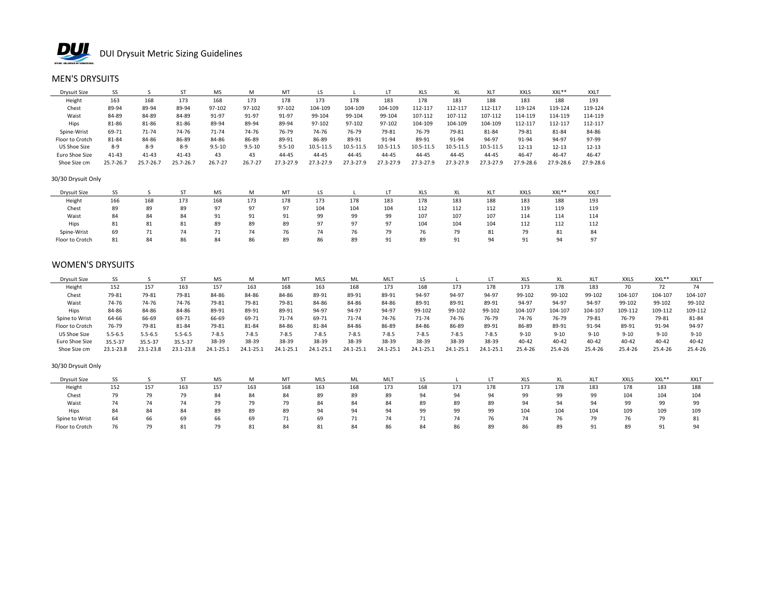

# MEN'S DRYSUITS

| Drysuit Size    |               |           | CT.       | MS         | M          | MT         |           |           |           | <b>XLS</b> |           | XL <sup>7</sup> | <b>XXLS</b> | XXL**     | <b>XXLT</b> |
|-----------------|---------------|-----------|-----------|------------|------------|------------|-----------|-----------|-----------|------------|-----------|-----------------|-------------|-----------|-------------|
| Height          | 163           | 168       | 173       | 168        | 173        | 178        | 173       | 178       | 183       | 178        | 183       | 188             | 183         | 188       | 193         |
| Chest           | 89-94         | 89-94     | 89-94     | 97-102     | 97-102     | 97-102     | 104-109   | 104-109   | 104-109   | 112-117    | 112-117   | 112-117         | 119-124     | 119-124   | 119-124     |
| Waist           | 84-89         | 84-89     | 84-89     | 91-97      | 91-97      | 91-97      | 99-104    | 99-104    | 99-104    | 107-112    | 107-112   | 107-112         | 114-119     | 114-119   | 114-119     |
| Hips            | 81-86         | 81-86     | 81-86     | 89-94      | 89-94      | 89-94      | 97-102    | 97-102    | 97-102    | 104-109    | 104-109   | 104-109         | 112-117     | 112-117   | 112-117     |
| Spine-Wrist     | 69-71         | 71-74     | 74-76     | 71-74      | 74-76      | 76-79      | 74-76     | 76-79     | 79-81     | 76-79      | 79-81     | 81-84           | 79-81       | 81-84     | 84-86       |
| Floor to Crotch | 81-84         | 84-86     | 86-89     | 84-86      | 86-89      | 89-91      | 86-89     | 89-91     | 91-94     | 89-91      | 91-94     | 94-97           | 91-94       | 94-97     | 97-99       |
| US Shoe Size    | $8 - 9$       | $8 - 9$   | $8 - 9$   | $9.5 - 10$ | $9.5 - 10$ | $9.5 - 10$ | 10.5-11.5 | 10.5-11.5 | 10.5-11.5 | 10.5-11.5  | 10.5-11.5 | 10.5-11.5       | $12 - 13$   | 12-13     | $12 - 13$   |
| Euro Shoe Size  | $41 - 43$     | $41 - 43$ | $41 - 43$ | 43         | 43         | 44-45      | 44-45     | 44-45     | 44-45     | 44-45      | 44-45     | 44-45           | 46-47       | 46-47     | 46-47       |
| Shoe Size cm    | $25.7 - 26.7$ | 25.7-26.7 | 25.7-26.7 | 26.7-27    | 26.7-27    | 27.3-27.9  | 27.3-27.9 | 27.3-27.9 | 27.3-27.9 | 27.3-27.9  | 27.3-27.9 | 27.3-27.9       | 27.9-28.6   | 27.9-28.6 | 27.9-28.6   |

### 30/30 Drysuit Only

| <b>Drysuit Size</b> |     |     |     | MS                    | M   | MT        | ĽS             |              |                | XLS | <b>XL</b> | XL7        | <b>XXLS</b> | XXL**      | <b>XXLT</b> |
|---------------------|-----|-----|-----|-----------------------|-----|-----------|----------------|--------------|----------------|-----|-----------|------------|-------------|------------|-------------|
| Height              | 166 | 168 | 173 | 168                   | 173 | 178       | 173            | 178          | 183            | 178 | 183       | 188        | 183         | 188        | 193         |
| Chest               | 89  | 89  | 89  | 97                    |     | Q.<br>J . | 104            | 104          | 104            | 112 | 112       | 112        | 119         | 119        | 119         |
| Waist               | 84  | 84  | 84  | Q <sub>1</sub><br>ـ ر |     | 91        | ۵۵<br>JJ       | 99           | 99             | 107 | 107       | 107        | 114         | 114        | 114         |
| Hips                | 81  | 81  | 81  | 89                    | 89  | 89        | $\Omega$<br>., | 97<br>-      | ⊃.             | 104 | 104       | 101<br>104 | 112         | 117<br>114 | 112         |
| Spine-Wrist         | 69  |     |     | , 1                   |     | 76        | 74             | $\sim$<br>76 | 79             | 76  | 79        | 81         | 79          | 81         | 84          |
| Floor to Crotch     | 81  | 84  | 86  | 84                    | 86  | 89        | 86             | 89           | Q <sub>1</sub> | 89  | 91        | 94         | 91          | 94         | 97          |

# WOMEN'S DRYSUITS

| Drysuit Size    |             |             |             | <b>MS</b> | м         | MT            | <b>MLS</b> | ML        | MLT       |           |           |           | <b>XLS</b> |           |           | <b>XXLS</b> | XXL**     | XXL <sub>1</sub> |
|-----------------|-------------|-------------|-------------|-----------|-----------|---------------|------------|-----------|-----------|-----------|-----------|-----------|------------|-----------|-----------|-------------|-----------|------------------|
| Height          | 152         | 157         | 163         | 157       | 163       | 168           | 163        | 168       | 173       | 168       | 173       | 178       | 173        | 178       | 183       | 70          |           |                  |
| Chest           | 79-81       | 79-81       | 79-81       | 84-86     | 84-86     | 84-86         | 89-91      | 89-91     | 89-91     | 94-97     | 94-97     | 94-97     | 99-102     | 99-102    | 99-102    | 104-107     | 104-107   | 104-107          |
| Waist           | 74-76       | 74-76       | 74-76       | 79-81     | 79-81     | 79-81         | 84-86      | 84-86     | 84-86     | 89-91     | 89-91     | 89-91     | 94-97      | 94-97     | 94-97     | 99-102      | 99-102    | 99-102           |
| Hips            | 84-86       | 84-86       | 84-86       | 89-91     | 89-91     | 89-91         | 94-97      | 94-97     | $94-97$   | 99-102    | 99-102    | 99-102    | 104-107    | 104-107   | 104-107   | 109-112     | 109-112   | 109-112          |
| Spine to Wrist  | 64-66       | 66-69       | 69-71       | 66-69     | 69-71     | 71-74         | 69-71      | 71-74     | 74-76     | $71 - 74$ | 74-76     | 76-79     | 74-76      | 76-79     | 79-81     | 76-79       | 79-81     | 81-84            |
| Floor to Crotch | 76-79       | 79-81       | 81-84       | 79-81     | 81-84     | 84-86         | 81-84      | 84-86     | 86-89     | 84-86     | 86-89     | 89-91     | 86-89      | 89-91     | 91-94     | 89-91       | 91-94     | 94-97            |
| US Shoe Size    | $5.5 - 6.5$ | $5.5 - 6.5$ | $5.5 - 6.5$ | $7 - 8.5$ | $7 - 8.5$ | $7 - 8.5$     | $7 - 8.5$  | $7 - 8.5$ | $7 - 8.5$ | $7 - 8.5$ | $7 - 8.5$ | $7 - 8.5$ | $9 - 10$   | $9 - 10$  | $9 - 10$  | $9 - 10$    | $9 - 10$  | $9 - 10$         |
| Euro Shoe Size  | 35.5-37     | 35.5-37     | 35.5-37     | 38-39     | 38-39     | 38-39         | 38-39      | 38-39     | 38-39     | 38-39     | 38-39     | 38-39     | $40 - 42$  | $40 - 42$ | $40 - 42$ | $40 - 42$   | $40 - 42$ | $40 - 42$        |
| Shoe Size cm    | 23.1-23.8   | 23.1-23.8   | 23.1-23.8   | 24.1-25.1 | 24.1-25.1 | $24.1 - 25.2$ | 24.1-25.   | 24.1-25.1 | 24.1-25.1 | 24.1-25.1 | 24.1-25.1 | 24.1-25.1 | 25.4-26    | 25.4-26   | 25.4-26   | 25.4-26     | 25.4-26   | 25.4-26          |

### 30/30 Drysuit Only

| Drysuit Size    |     |     |     | <b>MS</b> | M   | MT  | <b>MLS</b> | ML  | MLT     |                            |     |     | XLS | vı  | <b>XLT</b> | <b>XXLS</b> | XXL**          | XXLT |
|-----------------|-----|-----|-----|-----------|-----|-----|------------|-----|---------|----------------------------|-----|-----|-----|-----|------------|-------------|----------------|------|
| Height          | 152 | 157 | 163 | 157       | 163 | 168 | 163        | 168 | 173     | 168                        | 173 | 178 | 173 | 178 | 183        | 178         | 183            | 188  |
| Chest           | 79. |     |     | 84        | 84  | 84  | 89         | 89  | 89      | $Q_{\Lambda}$<br><b>J.</b> | 94  | 94  | 99  | 99  | 00         | 104         | 104            | 104  |
| Waist           |     |     | 71  | 79        | . . | 79  | 84         | 84  | 84      | 89                         | 89  | 89  | 94  | 94  | 94         | $\alpha$    | 99             | 99   |
| Hips            | 84  | 84  | 84  | 89        | 89  | 89  | 94         | 94  | $Q_{A}$ | 99                         | 99  | 99  | 104 | 104 | 104        | 109         | 109            | 109  |
| Spine to Wrist  | 64  | 66  | 69  | 66        | 69  |     | 69         |     | 74      |                            |     |     | 74  | 76  | 79         |             |                |      |
| Floor to Crotch | 76  | 79  | 81  | 79        | 81  | 84  | 81         | 84  | 86      | 84                         | 86  | 89  | 86  | 89  | $^{\circ}$ | 89          | Q <sub>1</sub> | 94   |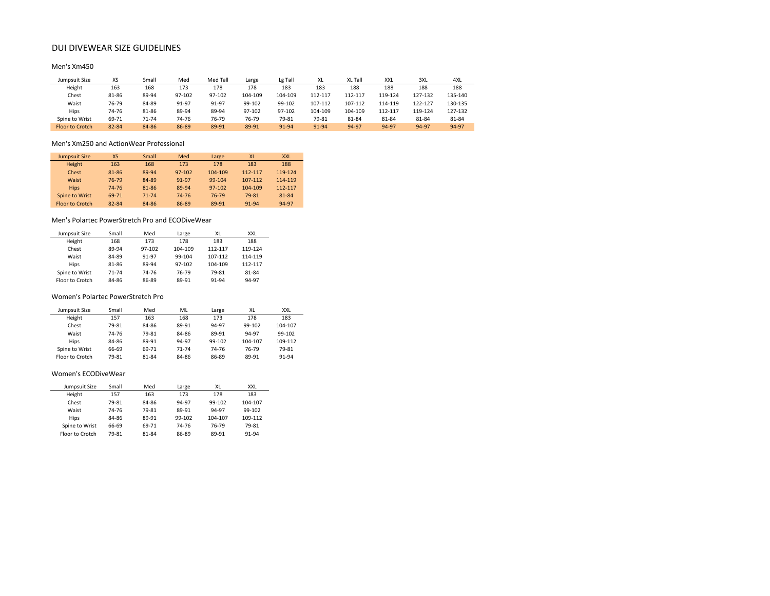# DUI DIVEWEAR SIZE GUIDELINES

## Men's Xm450

| Jumpsuit Size          | XS    | Small | Med    | Med Tall | Large   | Lg Tall | XL      | XL Tall | XXL     | 3XL     | 4XL     |
|------------------------|-------|-------|--------|----------|---------|---------|---------|---------|---------|---------|---------|
| Height                 | 163   | 168   | 173    | 178      | 178     | 183     | 183     | 188     | 188     | 188     | 188     |
| Chest                  | 81-86 | 89-94 | 97-102 | 97-102   | 104-109 | 104-109 | 112-117 | 112-117 | 119-124 | 127-132 | 135-140 |
| Waist                  | 76-79 | 84-89 | 91-97  | 91-97    | 99-102  | 99-102  | 107-112 | 107-112 | 114-119 | 122-127 | 130-135 |
| Hips                   | 74-76 | 81-86 | 89-94  | 89-94    | 97-102  | 97-102  | 104-109 | 104-109 | 112-117 | 119-124 | 127-132 |
| Spine to Wrist         | 69-71 | 71-74 | 74-76  | 76-79    | 76-79   | 79-81   | 79-81   | 81-84   | 81-84   | 81-84   | 81-84   |
| <b>Elgor to Crotch</b> | 82-84 | 84-86 | 86-89  | 89-91    | 89-91   | 91-94   | 91-94   | 94-97   | 94-97   | 94-97   | 94-97   |

#### Men's Xm250 and ActionWear Professional

| <b>Jumpsuit Size</b>   | <b>XS</b> | Small     | Med        | Large   | <b>XL</b> | <b>XXL</b> |
|------------------------|-----------|-----------|------------|---------|-----------|------------|
| <b>Height</b>          | 163       | 168       | 173        | 178     | 183       | 188        |
| Chest                  | 81-86     | 89-94     | $97 - 102$ | 104-109 | 112-117   | 119-124    |
| Waist                  | 76-79     | 84-89     | 91-97      | 99-104  | 107-112   | 114-119    |
| <b>Hips</b>            | 74-76     | 81-86     | 89-94      | 97-102  | 104-109   | 112-117    |
| Spine to Wrist         | 69-71     | $71 - 74$ | 74-76      | 76-79   | 79-81     | 81-84      |
| <b>Floor to Crotch</b> | 82-84     | 84-86     | 86-89      | 89-91   | $91 - 94$ | 94-97      |

#### Men's Polartec PowerStretch Pro and ECODiveWear

| Jumpsuit Size   | Small     | Med    | Large   | XL      | <b>XXL</b> |
|-----------------|-----------|--------|---------|---------|------------|
| Height          | 168       | 173    | 178     | 183     | 188        |
| Chest           | 89-94     | 97-102 | 104-109 | 112-117 | 119-124    |
| Waist           | 84-89     | 91-97  | 99-104  | 107-112 | 114-119    |
| Hips            | 81-86     | 89-94  | 97-102  | 104-109 | 112-117    |
| Spine to Wrist  | $71 - 74$ | 74-76  | 76-79   | 79-81   | 81-84      |
| Floor to Crotch | 84-86     | 86-89  | 89-91   | 91-94   | 94-97      |

#### Women's Polartec PowerStretch Pro

| Jumpsuit Size   | Small | Med   | ML    | Large  | XL      | <b>XXL</b> |
|-----------------|-------|-------|-------|--------|---------|------------|
| Height          | 157   | 163   | 168   | 173    | 178     | 183        |
| Chest           | 79-81 | 84-86 | 89-91 | 94-97  | 99-102  | 104-107    |
| Waist           | 74-76 | 79-81 | 84-86 | 89-91  | 94-97   | 99-102     |
| Hips            | 84-86 | 89-91 | 94-97 | 99-102 | 104-107 | 109-112    |
| Spine to Wrist  | 66-69 | 69-71 | 71-74 | 74-76  | 76-79   | 79-81      |
| Floor to Crotch | 79-81 | 81-84 | 84-86 | 86-89  | 89-91   | 91-94      |

#### Women's ECODiveWear

| Jumpsuit Size          | Small | Med   | Large  | XL      | <b>XXL</b> |
|------------------------|-------|-------|--------|---------|------------|
| Height                 | 157   | 163   | 173    | 178     | 183        |
| Chest                  | 79-81 | 84-86 | 94-97  | 99-102  | 104-107    |
| Waist                  | 74-76 | 79-81 | 89-91  | 94-97   | 99-102     |
| Hips                   | 84-86 | 89-91 | 99-102 | 104-107 | 109-112    |
| Spine to Wrist         | 66-69 | 69-71 | 74-76  | 76-79   | 79-81      |
| <b>Floor to Crotch</b> | 79-81 | 81-84 | 86-89  | 89-91   | 91-94      |